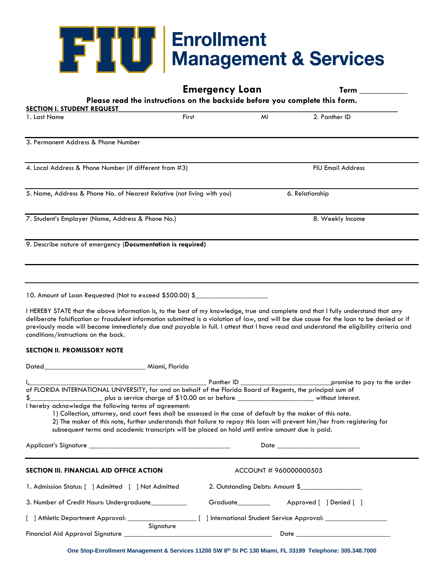# **FREED Enrollment**<br>Management & Services

|                                                                                                                                                                                                                                                                            |           | <b>Emergency Loan</b>                                                       | Term                                                                                                                                                                                                                                                                                              |  |
|----------------------------------------------------------------------------------------------------------------------------------------------------------------------------------------------------------------------------------------------------------------------------|-----------|-----------------------------------------------------------------------------|---------------------------------------------------------------------------------------------------------------------------------------------------------------------------------------------------------------------------------------------------------------------------------------------------|--|
|                                                                                                                                                                                                                                                                            |           | Please read the instructions on the backside before you complete this form. |                                                                                                                                                                                                                                                                                                   |  |
| <b>SECTION I. STUDENT REQUEST</b><br>1. Last Name                                                                                                                                                                                                                          | First     | MI                                                                          | 2. Panther ID                                                                                                                                                                                                                                                                                     |  |
|                                                                                                                                                                                                                                                                            |           |                                                                             |                                                                                                                                                                                                                                                                                                   |  |
| 3. Permanent Address & Phone Number                                                                                                                                                                                                                                        |           |                                                                             |                                                                                                                                                                                                                                                                                                   |  |
| 4. Local Address & Phone Number (if different from #3)                                                                                                                                                                                                                     |           |                                                                             | <b>FIU Email Address</b>                                                                                                                                                                                                                                                                          |  |
| 5. Name, Address & Phone No. of Nearest Relative (not living with you)                                                                                                                                                                                                     |           |                                                                             | 6. Relationship                                                                                                                                                                                                                                                                                   |  |
| 7. Student's Employer (Name, Address & Phone No.)                                                                                                                                                                                                                          |           |                                                                             | 8. Weekly Income                                                                                                                                                                                                                                                                                  |  |
| 9. Describe nature of emergency (Documentation is required)                                                                                                                                                                                                                |           |                                                                             |                                                                                                                                                                                                                                                                                                   |  |
|                                                                                                                                                                                                                                                                            |           |                                                                             |                                                                                                                                                                                                                                                                                                   |  |
| 10. Amount of Loan Requested (Not to exceed \$500.00) \$                                                                                                                                                                                                                   |           |                                                                             |                                                                                                                                                                                                                                                                                                   |  |
| I HEREBY STATE that the above information is, to the best of my knowledge, true and complete and that I fully understand that any<br>conditions/instructions on the back.<br><b>SECTION II. PROMISSORY NOTE</b>                                                            |           |                                                                             | deliberate falsification or fraudulent information submitted is a violation of law, and will be due cause for the loan to be denied or if<br>previously made will become immediately due and payable in full. I attest that I have read and understand the eligibility criteria and               |  |
|                                                                                                                                                                                                                                                                            |           |                                                                             |                                                                                                                                                                                                                                                                                                   |  |
| I hereby acknowledge the following terms of agreement:<br>1) Collection, attorney, and court fees shall be assessed in the case of default by the maker of this note.<br>subsequent terms and academic transcripts will be placed on hold until entire amount due is paid. |           |                                                                             | I <sub>n</sub> Panther ID promise to pay to the order<br>of FLORIDA INTERNATIONAL UNIVERSITY, for and on behalf of the Florida Board of Regents, the principal sum of<br>2) The maker of this note, further understands that failure to repay this loan will prevent him/her from registering for |  |
| Applicant's Signature that the state of the state of the state of the state of the state of the state of the s                                                                                                                                                             |           |                                                                             | Date and the contract of the contract of the contract of the contract of the contract of the contract of the contract of the contract of the contract of the contract of the contract of the contract of the contract of the c                                                                    |  |
| SECTION III. FINANCIAL AID OFFICE ACTION                                                                                                                                                                                                                                   |           | ACCOUNT # 960000000505                                                      |                                                                                                                                                                                                                                                                                                   |  |
| 1. Admission Status: [ ] Admitted [ ] Not Admitted                                                                                                                                                                                                                         |           |                                                                             | 2. Outstanding Debts: Amount \$                                                                                                                                                                                                                                                                   |  |
| 3. Number of Credit Hours: Undergraduate_________                                                                                                                                                                                                                          |           | Graduate_________                                                           | Approved [ ] Denied [ ]                                                                                                                                                                                                                                                                           |  |
|                                                                                                                                                                                                                                                                            |           |                                                                             |                                                                                                                                                                                                                                                                                                   |  |
|                                                                                                                                                                                                                                                                            | Signature |                                                                             |                                                                                                                                                                                                                                                                                                   |  |
|                                                                                                                                                                                                                                                                            |           |                                                                             |                                                                                                                                                                                                                                                                                                   |  |